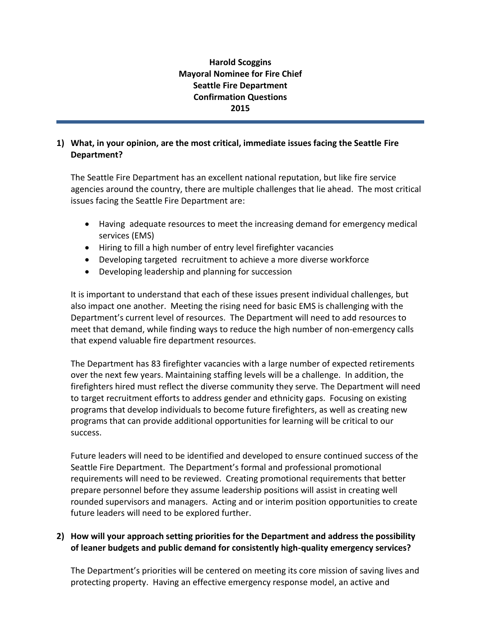# **Harold Scoggins Mayoral Nominee for Fire Chief Seattle Fire Department Confirmation Questions 2015**

#### **1) What, in your opinion, are the most critical, immediate issues facing the Seattle Fire Department?**

The Seattle Fire Department has an excellent national reputation, but like fire service agencies around the country, there are multiple challenges that lie ahead. The most critical issues facing the Seattle Fire Department are:

- Having adequate resources to meet the increasing demand for emergency medical services (EMS)
- Hiring to fill a high number of entry level firefighter vacancies
- Developing targeted recruitment to achieve a more diverse workforce
- Developing leadership and planning for succession

It is important to understand that each of these issues present individual challenges, but also impact one another. Meeting the rising need for basic EMS is challenging with the Department's current level of resources. The Department will need to add resources to meet that demand, while finding ways to reduce the high number of non-emergency calls that expend valuable fire department resources.

The Department has 83 firefighter vacancies with a large number of expected retirements over the next few years. Maintaining staffing levels will be a challenge. In addition, the firefighters hired must reflect the diverse community they serve. The Department will need to target recruitment efforts to address gender and ethnicity gaps. Focusing on existing programs that develop individuals to become future firefighters, as well as creating new programs that can provide additional opportunities for learning will be critical to our success.

Future leaders will need to be identified and developed to ensure continued success of the Seattle Fire Department. The Department's formal and professional promotional requirements will need to be reviewed. Creating promotional requirements that better prepare personnel before they assume leadership positions will assist in creating well rounded supervisors and managers. Acting and or interim position opportunities to create future leaders will need to be explored further.

## **2) How will your approach setting priorities for the Department and address the possibility of leaner budgets and public demand for consistently high-quality emergency services?**

The Department's priorities will be centered on meeting its core mission of saving lives and protecting property. Having an effective emergency response model, an active and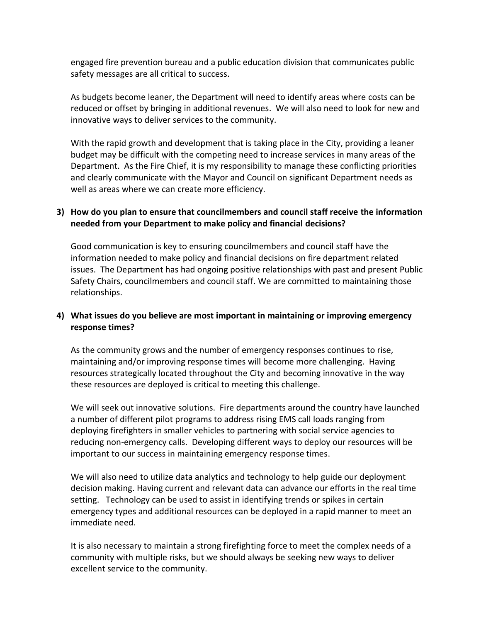engaged fire prevention bureau and a public education division that communicates public safety messages are all critical to success.

As budgets become leaner, the Department will need to identify areas where costs can be reduced or offset by bringing in additional revenues. We will also need to look for new and innovative ways to deliver services to the community.

With the rapid growth and development that is taking place in the City, providing a leaner budget may be difficult with the competing need to increase services in many areas of the Department. As the Fire Chief, it is my responsibility to manage these conflicting priorities and clearly communicate with the Mayor and Council on significant Department needs as well as areas where we can create more efficiency.

## **3) How do you plan to ensure that councilmembers and council staff receive the information needed from your Department to make policy and financial decisions?**

Good communication is key to ensuring councilmembers and council staff have the information needed to make policy and financial decisions on fire department related issues. The Department has had ongoing positive relationships with past and present Public Safety Chairs, councilmembers and council staff. We are committed to maintaining those relationships.

## **4) What issues do you believe are most important in maintaining or improving emergency response times?**

As the community grows and the number of emergency responses continues to rise, maintaining and/or improving response times will become more challenging. Having resources strategically located throughout the City and becoming innovative in the way these resources are deployed is critical to meeting this challenge.

We will seek out innovative solutions. Fire departments around the country have launched a number of different pilot programs to address rising EMS call loads ranging from deploying firefighters in smaller vehicles to partnering with social service agencies to reducing non-emergency calls. Developing different ways to deploy our resources will be important to our success in maintaining emergency response times.

We will also need to utilize data analytics and technology to help guide our deployment decision making. Having current and relevant data can advance our efforts in the real time setting. Technology can be used to assist in identifying trends or spikes in certain emergency types and additional resources can be deployed in a rapid manner to meet an immediate need.

It is also necessary to maintain a strong firefighting force to meet the complex needs of a community with multiple risks, but we should always be seeking new ways to deliver excellent service to the community.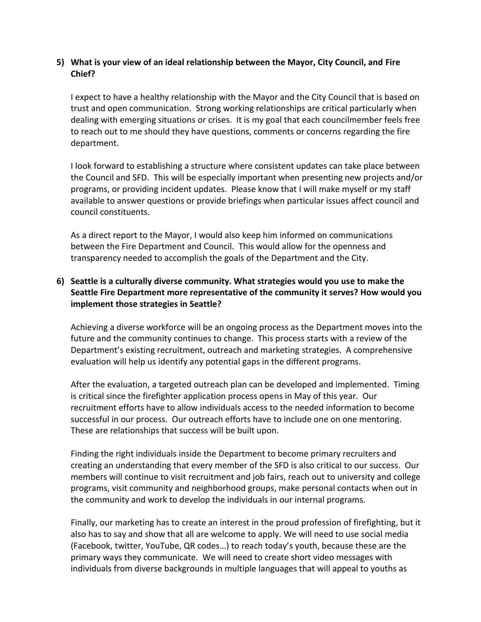#### **5) What is your view of an ideal relationship between the Mayor, City Council, and Fire Chief?**

I expect to have a healthy relationship with the Mayor and the City Council that is based on trust and open communication. Strong working relationships are critical particularly when dealing with emerging situations or crises. It is my goal that each councilmember feels free to reach out to me should they have questions, comments or concerns regarding the fire department.

I look forward to establishing a structure where consistent updates can take place between the Council and SFD. This will be especially important when presenting new projects and/or programs, or providing incident updates. Please know that I will make myself or my staff available to answer questions or provide briefings when particular issues affect council and council constituents.

As a direct report to the Mayor, I would also keep him informed on communications between the Fire Department and Council. This would allow for the openness and transparency needed to accomplish the goals of the Department and the City.

## **6) Seattle is a culturally diverse community. What strategies would you use to make the Seattle Fire Department more representative of the community it serves? How would you implement those strategies in Seattle?**

Achieving a diverse workforce will be an ongoing process as the Department moves into the future and the community continues to change. This process starts with a review of the Department's existing recruitment, outreach and marketing strategies. A comprehensive evaluation will help us identify any potential gaps in the different programs.

After the evaluation, a targeted outreach plan can be developed and implemented. Timing is critical since the firefighter application process opens in May of this year. Our recruitment efforts have to allow individuals access to the needed information to become successful in our process. Our outreach efforts have to include one on one mentoring. These are relationships that success will be built upon.

Finding the right individuals inside the Department to become primary recruiters and creating an understanding that every member of the SFD is also critical to our success. Our members will continue to visit recruitment and job fairs, reach out to university and college programs, visit community and neighborhood groups, make personal contacts when out in the community and work to develop the individuals in our internal programs.

Finally, our marketing has to create an interest in the proud profession of firefighting, but it also has to say and show that all are welcome to apply. We will need to use social media (Facebook, twitter, YouTube, QR codes…) to reach today's youth, because these are the primary ways they communicate. We will need to create short video messages with individuals from diverse backgrounds in multiple languages that will appeal to youths as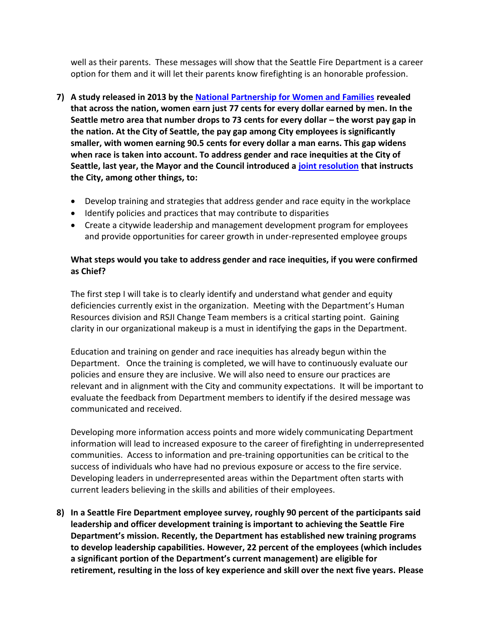well as their parents. These messages will show that the Seattle Fire Department is a career option for them and it will let their parents know firefighting is an honorable profession.

- **7) A study released in 2013 by th[e National Partnership for Women and Families](http://www.nationalpartnership.org/research-library/workplace-fairness/fair-pay/americas-women-and-the-wage-gap.pdf) revealed that across the nation, women earn just 77 cents for every dollar earned by men. In the Seattle metro area that number drops to 73 cents for every dollar – the worst pay gap in the nation. At the City of Seattle, the pay gap among City employees is significantly smaller, with women earning 90.5 cents for every dollar a man earns. This gap widens when race is taken into account. To address gender and race inequities at the City of Seattle, last year, the Mayor and the Council introduced a [joint resolution](http://murray.seattle.gov/wp-content/uploads/2014/04/Gender-Equity-Resolution-April-2-2014.pdf) that instructs the City, among other things, to:**
	- Develop training and strategies that address gender and race equity in the workplace
	- Identify policies and practices that may contribute to disparities
	- Create a citywide leadership and management development program for employees and provide opportunities for career growth in under-represented employee groups

#### **What steps would you take to address gender and race inequities, if you were confirmed as Chief?**

The first step I will take is to clearly identify and understand what gender and equity deficiencies currently exist in the organization. Meeting with the Department's Human Resources division and RSJI Change Team members is a critical starting point. Gaining clarity in our organizational makeup is a must in identifying the gaps in the Department.

Education and training on gender and race inequities has already begun within the Department. Once the training is completed, we will have to continuously evaluate our policies and ensure they are inclusive. We will also need to ensure our practices are relevant and in alignment with the City and community expectations. It will be important to evaluate the feedback from Department members to identify if the desired message was communicated and received.

Developing more information access points and more widely communicating Department information will lead to increased exposure to the career of firefighting in underrepresented communities. Access to information and pre-training opportunities can be critical to the success of individuals who have had no previous exposure or access to the fire service. Developing leaders in underrepresented areas within the Department often starts with current leaders believing in the skills and abilities of their employees.

**8) In a Seattle Fire Department employee survey, roughly 90 percent of the participants said leadership and officer development training is important to achieving the Seattle Fire Department's mission. Recently, the Department has established new training programs to develop leadership capabilities. However, 22 percent of the employees (which includes a significant portion of the Department's current management) are eligible for retirement, resulting in the loss of key experience and skill over the next five years. Please**